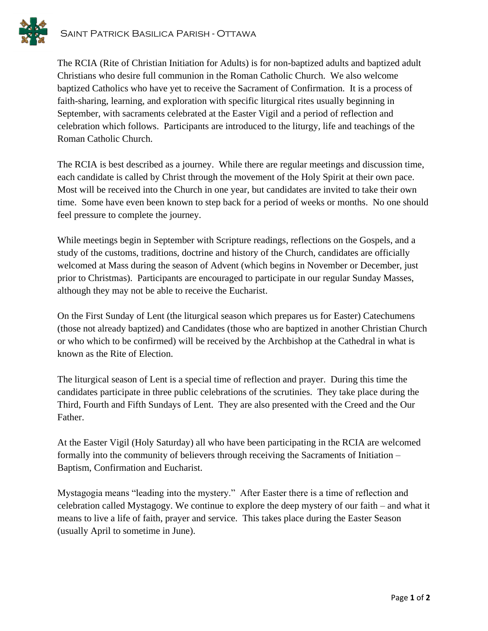

The RCIA (Rite of Christian Initiation for Adults) is for non-baptized adults and baptized adult Christians who desire full communion in the Roman Catholic Church. We also welcome baptized Catholics who have yet to receive the Sacrament of Confirmation. It is a process of faith-sharing, learning, and exploration with specific liturgical rites usually beginning in September, with sacraments celebrated at the Easter Vigil and a period of reflection and celebration which follows. Participants are introduced to the liturgy, life and teachings of the Roman Catholic Church.

The RCIA is best described as a journey. While there are regular meetings and discussion time, each candidate is called by Christ through the movement of the Holy Spirit at their own pace. Most will be received into the Church in one year, but candidates are invited to take their own time. Some have even been known to step back for a period of weeks or months. No one should feel pressure to complete the journey.

While meetings begin in September with Scripture readings, reflections on the Gospels, and a study of the customs, traditions, doctrine and history of the Church, candidates are officially welcomed at Mass during the season of Advent (which begins in November or December, just prior to Christmas). Participants are encouraged to participate in our regular Sunday Masses, although they may not be able to receive the Eucharist.

On the First Sunday of Lent (the liturgical season which prepares us for Easter) Catechumens (those not already baptized) and Candidates (those who are baptized in another Christian Church or who which to be confirmed) will be received by the Archbishop at the Cathedral in what is known as the Rite of Election.

The liturgical season of Lent is a special time of reflection and prayer. During this time the candidates participate in three public celebrations of the scrutinies. They take place during the Third, Fourth and Fifth Sundays of Lent. They are also presented with the Creed and the Our Father.

At the Easter Vigil (Holy Saturday) all who have been participating in the RCIA are welcomed formally into the community of believers through receiving the Sacraments of Initiation – Baptism, Confirmation and Eucharist.

Mystagogia means "leading into the mystery." After Easter there is a time of reflection and celebration called Mystagogy. We continue to explore the deep mystery of our faith – and what it means to live a life of faith, prayer and service. This takes place during the Easter Season (usually April to sometime in June).